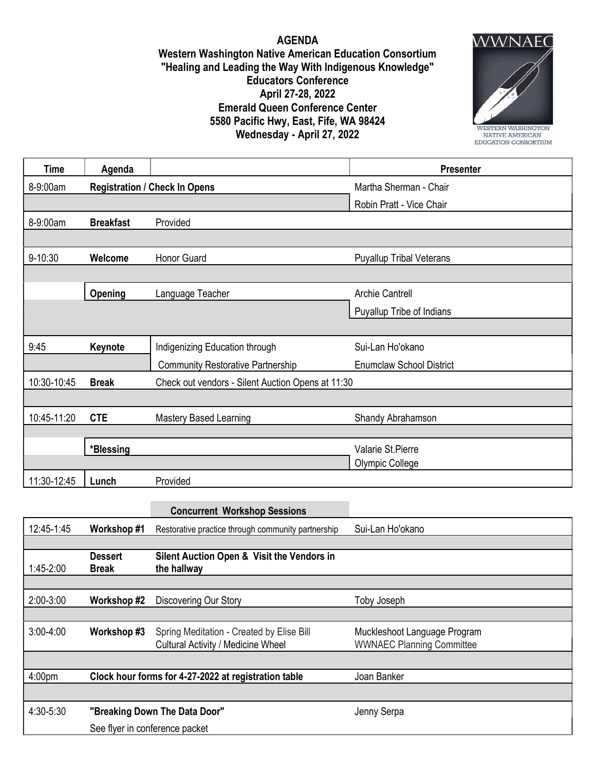AGENDA Western Washington Native American Education Consortium "Healing and Leading the Way With Indigenous Knowledge" Educators Conference April 27-28, 2022 Emerald Queen Conference Center 5580 Pacific Hwy, East, Fife, WA 98424 Wednesday - April 27, 2022



| <b>Time</b> | Agenda                               |                                                   | Presenter                       |
|-------------|--------------------------------------|---------------------------------------------------|---------------------------------|
| 8-9:00am    | <b>Registration / Check In Opens</b> |                                                   | Martha Sherman - Chair          |
|             |                                      |                                                   | Robin Pratt - Vice Chair        |
| 8-9:00am    | <b>Breakfast</b>                     | Provided                                          |                                 |
|             |                                      |                                                   |                                 |
| 9-10:30     | Welcome                              | Honor Guard                                       | <b>Puyallup Tribal Veterans</b> |
|             |                                      |                                                   |                                 |
|             | Opening                              | Language Teacher                                  | <b>Archie Cantrell</b>          |
|             |                                      |                                                   | Puyallup Tribe of Indians       |
|             |                                      |                                                   |                                 |
| 9:45        | Keynote                              | Indigenizing Education through                    | Sui-Lan Ho'okano                |
|             |                                      | <b>Community Restorative Partnership</b>          | <b>Enumclaw School District</b> |
| 10:30-10:45 | <b>Break</b>                         | Check out vendors - Silent Auction Opens at 11:30 |                                 |
|             |                                      |                                                   |                                 |
| 10:45-11:20 | <b>CTE</b>                           | <b>Mastery Based Learning</b>                     | Shandy Abrahamson               |
|             |                                      |                                                   |                                 |
|             | *Blessing                            |                                                   | Valarie St.Pierre               |
|             |                                      |                                                   | <b>Olympic College</b>          |
| 11:30-12:45 | Lunch                                | Provided                                          |                                 |

|                    |                                                      | <b>Concurrent Workshop Sessions</b>                       |                                  |
|--------------------|------------------------------------------------------|-----------------------------------------------------------|----------------------------------|
| 12:45-1:45         | Workshop #1                                          | Restorative practice through community partnership        | Sui-Lan Ho'okano                 |
|                    |                                                      |                                                           |                                  |
| $1:45-2:00$        | <b>Dessert</b><br>Break                              | Silent Auction Open & Visit the Vendors in<br>the hallway |                                  |
|                    |                                                      |                                                           |                                  |
| 2:00-3:00          | Workshop #2                                          | Discovering Our Story                                     | Toby Joseph                      |
|                    |                                                      |                                                           |                                  |
| $3:00-4:00$        | Workshop #3                                          | Spring Meditation - Created by Elise Bill                 | Muckleshoot Language Program     |
|                    |                                                      | <b>Cultural Activity / Medicine Wheel</b>                 | <b>WWNAEC Planning Committee</b> |
|                    |                                                      |                                                           |                                  |
| 4:00 <sub>pm</sub> | Clock hour forms for 4-27-2022 at registration table |                                                           | Joan Banker                      |
|                    |                                                      |                                                           |                                  |
| 4:30-5:30          | "Breaking Down The Data Door"                        |                                                           | Jenny Serpa                      |
|                    | See flyer in conference packet                       |                                                           |                                  |